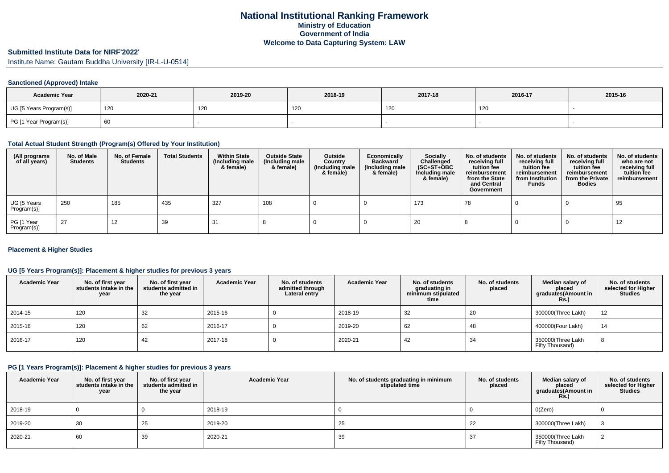# **Submitted Institute Data for NIRF'2022'**

Institute Name: Gautam Buddha University [IR-L-U-0514]

#### **Sanctioned (Approved) Intake**

| <b>Academic Year</b>    | 2020-21 | 2019-20 | 2018-19 | 2017-18 |     | 2015-16 |
|-------------------------|---------|---------|---------|---------|-----|---------|
| UG [5 Years Program(s)] | 120     | 120     | 120     | 120     | 120 |         |
| PG [1 Year Program(s)]  | ൛       |         |         |         |     |         |

#### **Total Actual Student Strength (Program(s) Offered by Your Institution)**

| (All programs<br>of all years) | No. of Male<br><b>Students</b> | No. of Female<br><b>Students</b> | <b>Total Students</b> | <b>Within State</b><br>(Including male<br>& female) | <b>Outside State</b><br>(Including male<br>& female) | Outside<br>Country<br>(Including male<br>& female) | Economically<br><b>Backward</b><br>(Including male<br>& female) | <b>Socially</b><br>Challenged<br>$(SC+ST+OBC)$<br>Including male<br>& female) | No. of students<br>receiving full<br>tuition fee<br>reimbursement<br>from the State<br>and Central<br>Government | No. of students<br>receiving full<br>tuition fee<br>reimbursement<br>from Institution<br><b>Funds</b> | No. of students<br>receiving full<br>tuition fee<br>reimbursement<br>from the Private<br><b>Bodies</b> | No. of students<br>who are not<br>receiving full<br>tuition fee<br>reimbursement |
|--------------------------------|--------------------------------|----------------------------------|-----------------------|-----------------------------------------------------|------------------------------------------------------|----------------------------------------------------|-----------------------------------------------------------------|-------------------------------------------------------------------------------|------------------------------------------------------------------------------------------------------------------|-------------------------------------------------------------------------------------------------------|--------------------------------------------------------------------------------------------------------|----------------------------------------------------------------------------------|
| UG [5 Years<br>Program(s)]     | 250                            | 185                              | 435                   | 327                                                 | 108                                                  |                                                    |                                                                 | 173                                                                           | 78                                                                                                               |                                                                                                       |                                                                                                        | 95                                                                               |
| PG [1 Year<br>Program(s)]      | 27                             | 12                               | 39                    | 31                                                  |                                                      |                                                    |                                                                 | 20                                                                            |                                                                                                                  |                                                                                                       |                                                                                                        | 12                                                                               |

#### **Placement & Higher Studies**

### **UG [5 Years Program(s)]: Placement & higher studies for previous 3 years**

| <b>Academic Year</b> | No. of first year<br>students intake in the<br>year | No. of first year<br>students admitted in<br>the year | <b>Academic Year</b> | No. of students<br>admitted through<br>Lateral entry | <b>Academic Year</b> | No. of students<br>graduating in<br>minimum stipulated<br>time | No. of students<br>placed | Median salary of<br>placed<br>graduates(Amount in<br><b>Rs.)</b> | No. of students<br>selected for Higher<br><b>Studies</b> |
|----------------------|-----------------------------------------------------|-------------------------------------------------------|----------------------|------------------------------------------------------|----------------------|----------------------------------------------------------------|---------------------------|------------------------------------------------------------------|----------------------------------------------------------|
| 2014-15              | 120                                                 | 32                                                    | 2015-16              |                                                      | 2018-19              | -32                                                            | 20                        | 300000(Three Lakh)                                               | 12                                                       |
| 2015-16              | 120                                                 | 62                                                    | 2016-17              |                                                      | 2019-20              | 62                                                             | 48                        | 400000(Four Lakh)                                                | 14                                                       |
| 2016-17              | 120                                                 | 42                                                    | 2017-18              |                                                      | 2020-21              | 42                                                             | 34                        | 350000(Three Lakh<br>Fifty Thousand)                             | 8                                                        |

#### **PG [1 Years Program(s)]: Placement & higher studies for previous 3 years**

| <b>Academic Year</b> | No. of first year<br>students intake in the<br>year | No. of first year<br>students admitted in<br>the year | <b>Academic Year</b> | No. of students graduating in minimum<br>stipulated time | No. of students<br>placed | Median salary of<br>placed<br>graduates(Amount in<br>R <sub>S</sub> | No. of students<br>selected for Higher<br><b>Studies</b> |
|----------------------|-----------------------------------------------------|-------------------------------------------------------|----------------------|----------------------------------------------------------|---------------------------|---------------------------------------------------------------------|----------------------------------------------------------|
| 2018-19              |                                                     |                                                       | 2018-19              |                                                          |                           | O(Zero)                                                             |                                                          |
| 2019-20              | 30                                                  | 25                                                    | 2019-20              | 25                                                       |                           | 300000(Three Lakh)                                                  |                                                          |
| 2020-21              | 60                                                  | -39                                                   | 2020-21              | 39                                                       |                           | 350000(Three Lakh<br>Fifty Thousand)                                |                                                          |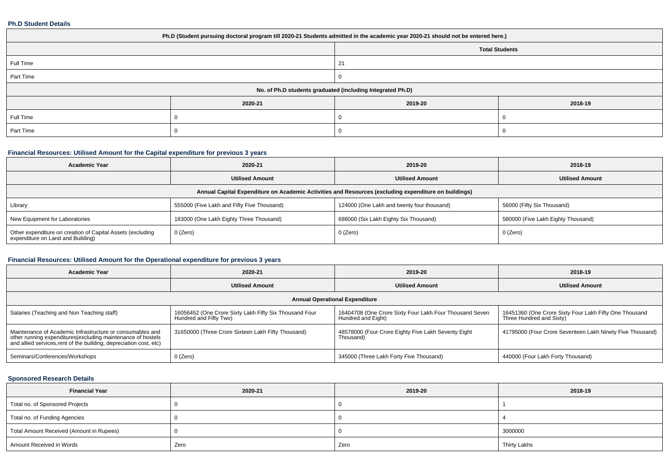#### **Ph.D Student Details**

| Ph.D (Student pursuing doctoral program till 2020-21 Students admitted in the academic year 2020-21 should not be entered here.) |         |                       |         |  |  |  |  |
|----------------------------------------------------------------------------------------------------------------------------------|---------|-----------------------|---------|--|--|--|--|
|                                                                                                                                  |         | <b>Total Students</b> |         |  |  |  |  |
| Full Time                                                                                                                        |         | 21                    |         |  |  |  |  |
| Part Time                                                                                                                        |         |                       |         |  |  |  |  |
| No. of Ph.D students graduated (including Integrated Ph.D)                                                                       |         |                       |         |  |  |  |  |
|                                                                                                                                  | 2020-21 | 2019-20               | 2018-19 |  |  |  |  |
| Full Time                                                                                                                        |         |                       |         |  |  |  |  |
| Part Time                                                                                                                        |         |                       |         |  |  |  |  |

## **Financial Resources: Utilised Amount for the Capital expenditure for previous 3 years**

| <b>Academic Year</b>                                                                                 | 2020-21                                    | 2019-20                                    | 2018-19                            |  |  |  |  |  |  |
|------------------------------------------------------------------------------------------------------|--------------------------------------------|--------------------------------------------|------------------------------------|--|--|--|--|--|--|
|                                                                                                      | <b>Utilised Amount</b>                     | <b>Utilised Amount</b>                     | <b>Utilised Amount</b>             |  |  |  |  |  |  |
| Annual Capital Expenditure on Academic Activities and Resources (excluding expenditure on buildings) |                                            |                                            |                                    |  |  |  |  |  |  |
| Library                                                                                              | 555000 (Five Lakh and Fifty Five Thousand) | 124000 (One Lakh and twenty four thousand) | 56000 (Fifty Six Thousand)         |  |  |  |  |  |  |
| New Equipment for Laboratories                                                                       | 183000 (One Lakh Eighty Three Thousand)    | 686000 (Six Lakh Eighty Six Thousand)      | 580000 (Five Lakh Eighty Thousand) |  |  |  |  |  |  |
| Other expenditure on creation of Capital Assets (excluding<br>expenditure on Land and Building)      | $0$ (Zero)                                 | 0 (Zero)                                   | 0 (Zero)                           |  |  |  |  |  |  |

## **Financial Resources: Utilised Amount for the Operational expenditure for previous 3 years**

| <b>Academic Year</b>                                                                                                                                                                            | 2020-21                                                                          | 2019-20                                                                       | 2018-19                                                                            |  |  |  |  |  |  |
|-------------------------------------------------------------------------------------------------------------------------------------------------------------------------------------------------|----------------------------------------------------------------------------------|-------------------------------------------------------------------------------|------------------------------------------------------------------------------------|--|--|--|--|--|--|
|                                                                                                                                                                                                 | <b>Utilised Amount</b>                                                           | <b>Utilised Amount</b>                                                        | <b>Utilised Amount</b>                                                             |  |  |  |  |  |  |
| <b>Annual Operational Expenditure</b>                                                                                                                                                           |                                                                                  |                                                                               |                                                                                    |  |  |  |  |  |  |
| Salaries (Teaching and Non Teaching staff)                                                                                                                                                      | 16056452 (One Crore Sixty Lakh Fifty Six Thousand Four<br>Hundred and Fifty Two) | 16404708 (One Crore Sixty Four Lakh Four Thousand Seven<br>Hundred and Eight) | 16451360 (One Crore Sixty Four Lakh Fifty One Thousand<br>Three Hundred and Sixty) |  |  |  |  |  |  |
| Maintenance of Academic Infrastructure or consumables and<br>other running expenditures (excluding maintenance of hostels<br>and allied services, rent of the building, depreciation cost, etc) | 31650000 (Three Crore Sixteen Lakh Fifty Thousand)                               | 48578000 (Four Crore Eighty Five Lakh Seventy Eight<br>Thousand)              | 41795000 (Four Crore Seventeen Lakh Ninety Five Thousand)                          |  |  |  |  |  |  |
| Seminars/Conferences/Workshops                                                                                                                                                                  | $0$ (Zero)                                                                       | 345000 (Three Lakh Forty Five Thousand)                                       | 440000 (Four Lakh Forty Thousand)                                                  |  |  |  |  |  |  |

## **Sponsored Research Details**

| <b>Financial Year</b>                    | 2020-21 | 2019-20 | 2018-19      |
|------------------------------------------|---------|---------|--------------|
| Total no. of Sponsored Projects          |         |         |              |
| Total no. of Funding Agencies            |         |         |              |
| Total Amount Received (Amount in Rupees) |         |         | 3000000      |
| Amount Received in Words                 | Zero    | Zero    | Thirty Lakhs |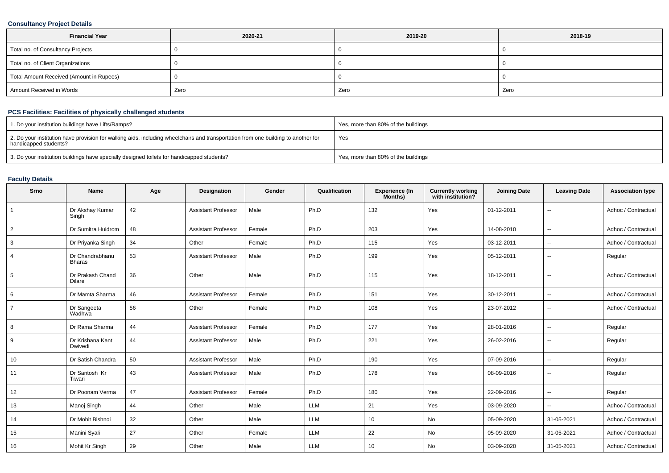### **Consultancy Project Details**

| <b>Financial Year</b>                    | 2020-21 | 2019-20 | 2018-19 |
|------------------------------------------|---------|---------|---------|
| Total no. of Consultancy Projects        |         |         |         |
| Total no. of Client Organizations        |         |         |         |
| Total Amount Received (Amount in Rupees) |         |         |         |
| Amount Received in Words                 | Zero    | Zero    | Zero    |

## **PCS Facilities: Facilities of physically challenged students**

| 1. Do your institution buildings have Lifts/Ramps?                                                                                                         | Yes, more than 80% of the buildings |
|------------------------------------------------------------------------------------------------------------------------------------------------------------|-------------------------------------|
| 2. Do your institution have provision for walking aids, including wheelchairs and transportation from one building to another for<br>handicapped students? | Yes                                 |
| 3. Do your institution buildings have specially designed toilets for handicapped students?                                                                 | Yes, more than 80% of the buildings |

## **Faculty Details**

| Srno           | <b>Name</b>                      | Age | Designation                | Gender | Qualification | <b>Experience (In</b><br>Months) | <b>Currently working</b><br>with institution? | <b>Joining Date</b> | <b>Leaving Date</b>      | <b>Association type</b> |
|----------------|----------------------------------|-----|----------------------------|--------|---------------|----------------------------------|-----------------------------------------------|---------------------|--------------------------|-------------------------|
| $\overline{1}$ | Dr Akshay Kumar<br>Singh         | 42  | <b>Assistant Professor</b> | Male   | Ph.D          | 132                              | Yes                                           | 01-12-2011          | --                       | Adhoc / Contractual     |
| 2              | Dr Sumitra Huidrom               | 48  | <b>Assistant Professor</b> | Female | Ph.D          | 203                              | Yes                                           | 14-08-2010          | $\overline{\phantom{a}}$ | Adhoc / Contractual     |
| 3              | Dr Priyanka Singh                | 34  | Other                      | Female | Ph.D          | 115                              | Yes                                           | 03-12-2011          | $\overline{\phantom{a}}$ | Adhoc / Contractual     |
| 4              | Dr Chandrabhanu<br><b>Bharas</b> | 53  | <b>Assistant Professor</b> | Male   | Ph.D          | 199                              | Yes                                           | 05-12-2011          | $\overline{\phantom{a}}$ | Regular                 |
| 5              | Dr Prakash Chand<br>Dilare       | 36  | Other                      | Male   | Ph.D          | 115                              | Yes                                           | 18-12-2011          | -−                       | Adhoc / Contractual     |
| 6              | Dr Mamta Sharma                  | 46  | <b>Assistant Professor</b> | Female | Ph.D          | 151                              | Yes                                           | 30-12-2011          | --                       | Adhoc / Contractual     |
| $\overline{7}$ | Dr Sangeeta<br>Wadhwa            | 56  | Other                      | Female | Ph.D          | 108                              | Yes                                           | 23-07-2012          | -−                       | Adhoc / Contractual     |
| 8              | Dr Rama Sharma                   | 44  | <b>Assistant Professor</b> | Female | Ph.D          | 177                              | Yes                                           | 28-01-2016          | $\sim$                   | Regular                 |
| 9              | Dr Krishana Kant<br>Dwivedi      | 44  | <b>Assistant Professor</b> | Male   | Ph.D          | 221                              | Yes                                           | 26-02-2016          | $\overline{\phantom{a}}$ | Regular                 |
| 10             | Dr Satish Chandra                | 50  | <b>Assistant Professor</b> | Male   | Ph.D          | 190                              | Yes                                           | 07-09-2016          | Ξ.                       | Regular                 |
| 11             | Dr Santosh Kr<br>Tiwari          | 43  | <b>Assistant Professor</b> | Male   | Ph.D          | 178                              | Yes                                           | 08-09-2016          | --                       | Regular                 |
| 12             | Dr Poonam Verma                  | 47  | <b>Assistant Professor</b> | Female | Ph.D          | 180                              | Yes                                           | 22-09-2016          | $\mathbf{u}$             | Regular                 |
| 13             | Manoj Singh                      | 44  | Other                      | Male   | <b>LLM</b>    | 21                               | Yes                                           | 03-09-2020          | $\sim$                   | Adhoc / Contractual     |
| 14             | Dr Mohit Bishnoi                 | 32  | Other                      | Male   | <b>LLM</b>    | 10 <sup>°</sup>                  | No                                            | 05-09-2020          | 31-05-2021               | Adhoc / Contractual     |
| 15             | Manini Syali                     | 27  | Other                      | Female | LLM           | 22                               | No                                            | 05-09-2020          | 31-05-2021               | Adhoc / Contractual     |
| 16             | Mohit Kr Singh                   | 29  | Other                      | Male   | <b>LLM</b>    | 10                               | No                                            | 03-09-2020          | 31-05-2021               | Adhoc / Contractual     |